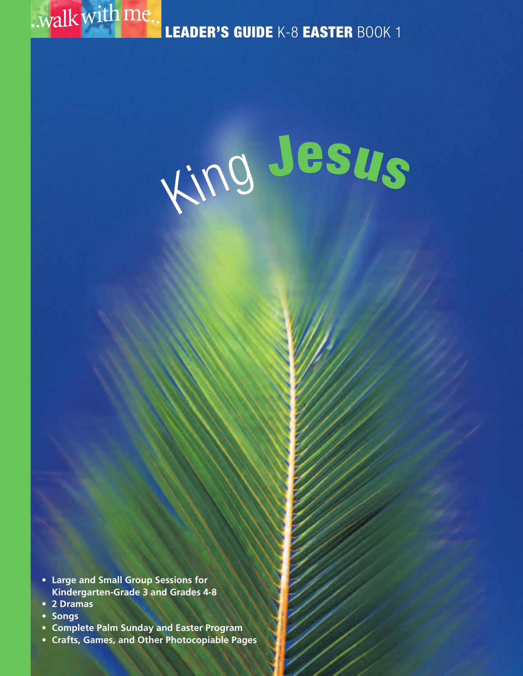

**LEADER'S GUIDE** K-8 **EASTER** BOOK 1

# <sup>K</sup>in<sup>g</sup> **<sup>J</sup>esu<sup>s</sup>**

- **• Large and Small Group Sessions for Kindergarten-Grade 3 and Grades 4-8**
- **• 2 Dramas**
- **• Songs**
- **Complete Palm Sunday and Easter Program**
- **Crafts, Games, and Other Photocopiable Pages**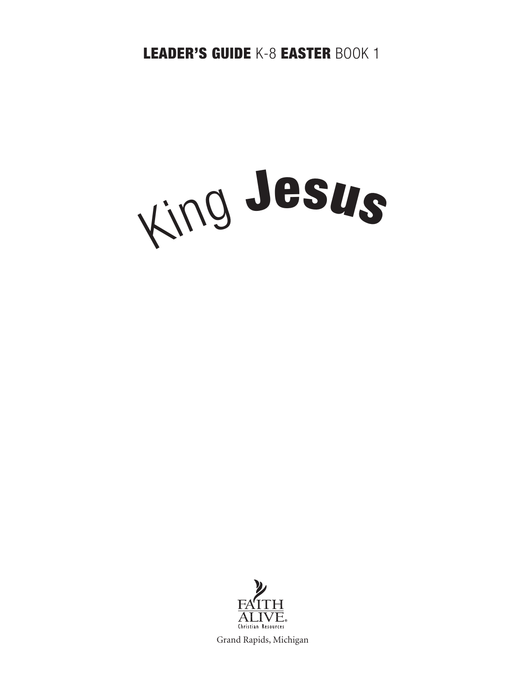**LEADER'S GUIDE** K-8 **EASTER** BOOK 1





Grand Rapids, Michigan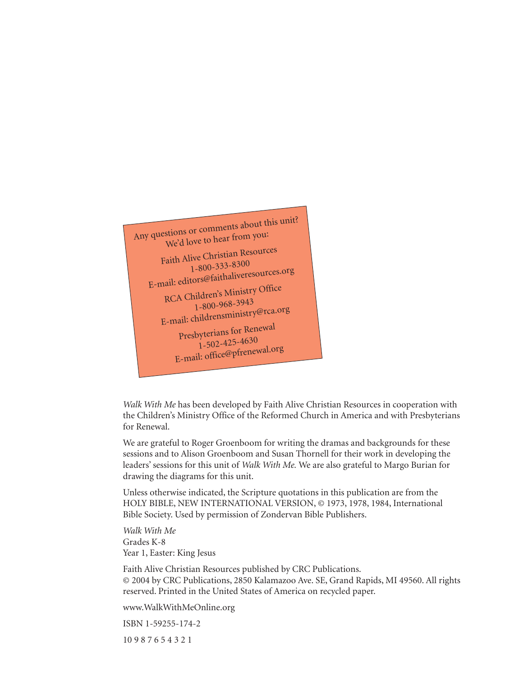

*Walk With Me* has been developed by Faith Alive Christian Resources in cooperation with the Children's Ministry Office of the Reformed Church in America and with Presbyterians for Renewal.

We are grateful to Roger Groenboom for writing the dramas and backgrounds for these sessions and to Alison Groenboom and Susan Thornell for their work in developing the leaders' sessions for this unit of *Walk With Me.* We are also grateful to Margo Burian for drawing the diagrams for this unit.

Unless otherwise indicated, the Scripture quotations in this publication are from the HOLY BIBLE, NEW INTERNATIONAL VERSION, © 1973, 1978, 1984, International Bible Society. Used by permission of Zondervan Bible Publishers.

*Walk With Me* Grades K-8 Year 1, Easter: King Jesus

Faith Alive Christian Resources published by CRC Publications. © 2004 by CRC Publications, 2850 Kalamazoo Ave. SE, Grand Rapids, MI 49560. All rights reserved. Printed in the United States of America on recycled paper.

www.WalkWithMeOnline.org

ISBN 1-59255-174-2

10 9 8 7 6 5 4 3 2 1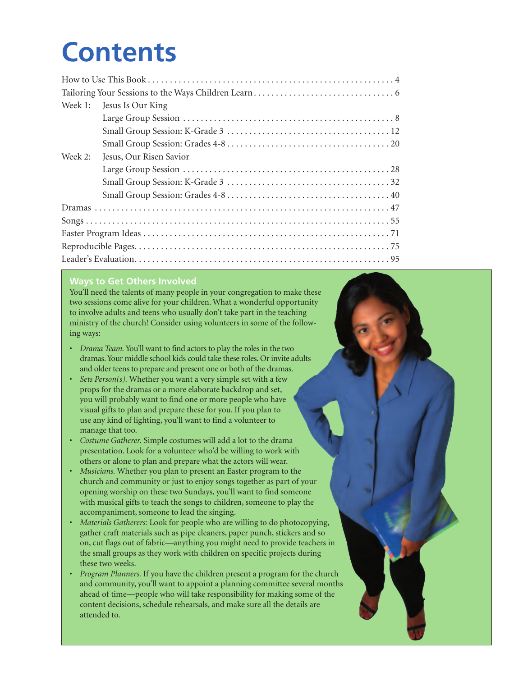# **Contents**

| Week 1: | Jesus Is Our King       |  |
|---------|-------------------------|--|
|         |                         |  |
|         |                         |  |
|         |                         |  |
| Week 2: | Jesus, Our Risen Savior |  |
|         |                         |  |
|         |                         |  |
|         |                         |  |
|         |                         |  |
|         |                         |  |
|         |                         |  |
|         |                         |  |
|         |                         |  |

#### **Ways to Get Others Involved**

You'll need the talents of many people in your congregation to make these two sessions come alive for your children. What a wonderful opportunity to involve adults and teens who usually don't take part in the teaching ministry of the church! Consider using volunteers in some of the following ways:

- *Drama Team.* You'll want to find actors to play the roles in the two dramas.Your middle school kids could take these roles. Or invite adults and older teens to prepare and present one or both of the dramas.
- *Sets Person(s).* Whether you want a very simple set with a few props for the dramas or a more elaborate backdrop and set, you will probably want to find one or more people who have visual gifts to plan and prepare these for you. If you plan to use any kind of lighting, you'll want to find a volunteer to manage that too.
- *Costume Gatherer.* Simple costumes will add a lot to the drama presentation. Look for a volunteer who'd be willing to work with others or alone to plan and prepare what the actors will wear.
- *Musicians.* Whether you plan to present an Easter program to the church and community or just to enjoy songs together as part of your opening worship on these two Sundays, you'll want to find someone with musical gifts to teach the songs to children, someone to play the accompaniment, someone to lead the singing.
- *Materials Gatherers:* Look for people who are willing to do photocopying, gather craft materials such as pipe cleaners, paper punch, stickers and so on, cut flags out of fabric—anything you might need to provide teachers in the small groups as they work with children on specific projects during these two weeks.
- *Program Planners.* If you have the children present a program for the church and community, you'll want to appoint a planning committee several months ahead of time—people who will take responsibility for making some of the content decisions, schedule rehearsals, and make sure all the details are attended to.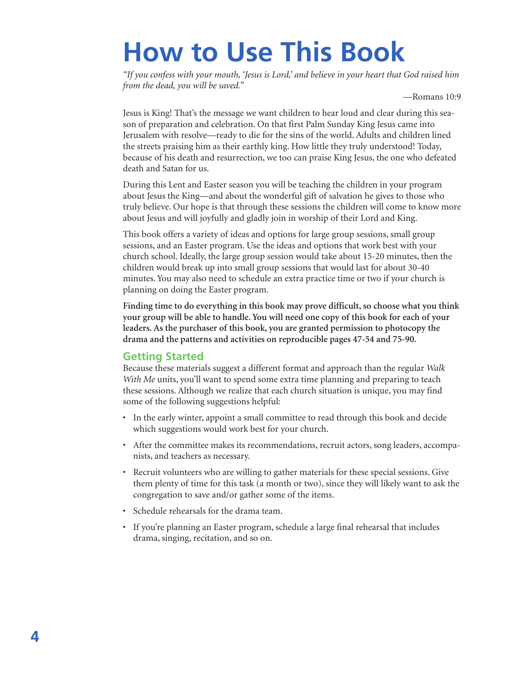# **How to Use This Book**

*"If you confess with your mouth, 'Jesus is Lord,' and believe in your heart that God raised him from the dead, you will be saved."*

—Romans 10:9

Jesus is King! That's the message we want children to hear loud and clear during this season of preparation and celebration. On that first Palm Sunday King Jesus came into Jerusalem with resolve—ready to die for the sins of the world. Adults and children lined the streets praising him as their earthly king. How little they truly understood! Today, because of his death and resurrection, we too can praise King Jesus, the one who defeated death and Satan for us.

During this Lent and Easter season you will be teaching the children in your program about Jesus the King—and about the wonderful gift of salvation he gives to those who truly believe. Our hope is that through these sessions the children will come to know more about Jesus and will joyfully and gladly join in worship of their Lord and King.

This book offers a variety of ideas and options for large group sessions, small group sessions, and an Easter program. Use the ideas and options that work best with your church school. Ideally, the large group session would take about 15-20 minutes, then the children would break up into small group sessions that would last for about 30-40 minutes. You may also need to schedule an extra practice time or two if your church is planning on doing the Easter program.

**Finding time to do everything in this book may prove difficult, so choose what you think your group will be able to handle. You will need one copy of this book for each of your leaders. As the purchaser of this book, you are granted permission to photocopy the drama and the patterns and activities on reproducible pages 47-54 and 75-90.**

#### **Getting Started**

Because these materials suggest a different format and approach than the regular *Walk With Me* units, you'll want to spend some extra time planning and preparing to teach these sessions. Although we realize that each church situation is unique, you may find some of the following suggestions helpful:

- In the early winter, appoint a small committee to read through this book and decide which suggestions would work best for your church.
- After the committee makes its recommendations, recruit actors, song leaders, accompanists, and teachers as necessary.
- Recruit volunteers who are willing to gather materials for these special sessions. Give them plenty of time for this task (a month or two), since they will likely want to ask the congregation to save and/or gather some of the items.
- Schedule rehearsals for the drama team.
- If you're planning an Easter program, schedule a large final rehearsal that includes drama, singing, recitation, and so on.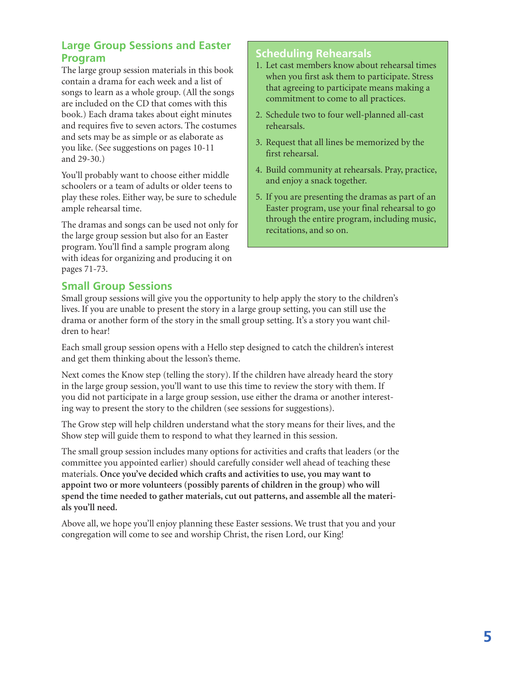#### **Large Group Sessions and Easter Program**

The large group session materials in this book contain a drama for each week and a list of songs to learn as a whole group. (All the songs are included on the CD that comes with this book.) Each drama takes about eight minutes and requires five to seven actors. The costumes and sets may be as simple or as elaborate as you like. (See suggestions on pages 10-11 and 29-30.)

You'll probably want to choose either middle schoolers or a team of adults or older teens to play these roles. Either way, be sure to schedule ample rehearsal time.

The dramas and songs can be used not only for the large group session but also for an Easter program. You'll find a sample program along with ideas for organizing and producing it on pages 71-73.

#### **Scheduling Rehearsals**

- 1. Let cast members know about rehearsal times when you first ask them to participate. Stress that agreeing to participate means making a commitment to come to all practices.
- 2. Schedule two to four well-planned all-cast rehearsals.
- 3. Request that all lines be memorized by the first rehearsal.
- 4. Build community at rehearsals. Pray, practice, and enjoy a snack together.
- 5. If you are presenting the dramas as part of an Easter program, use your final rehearsal to go through the entire program, including music, recitations, and so on.

#### **Small Group Sessions**

Small group sessions will give you the opportunity to help apply the story to the children's lives. If you are unable to present the story in a large group setting, you can still use the drama or another form of the story in the small group setting. It's a story you want children to hear!

Each small group session opens with a Hello step designed to catch the children's interest and get them thinking about the lesson's theme.

Next comes the Know step (telling the story). If the children have already heard the story in the large group session, you'll want to use this time to review the story with them. If you did not participate in a large group session, use either the drama or another interesting way to present the story to the children (see sessions for suggestions).

The Grow step will help children understand what the story means for their lives, and the Show step will guide them to respond to what they learned in this session.

The small group session includes many options for activities and crafts that leaders (or the committee you appointed earlier) should carefully consider well ahead of teaching these materials. **Once you've decided which crafts and activities to use, you may want to appoint two or more volunteers (possibly parents of children in the group) who will spend the time needed to gather materials, cut out patterns, and assemble all the materials you'll need.**

Above all, we hope you'll enjoy planning these Easter sessions. We trust that you and your congregation will come to see and worship Christ, the risen Lord, our King!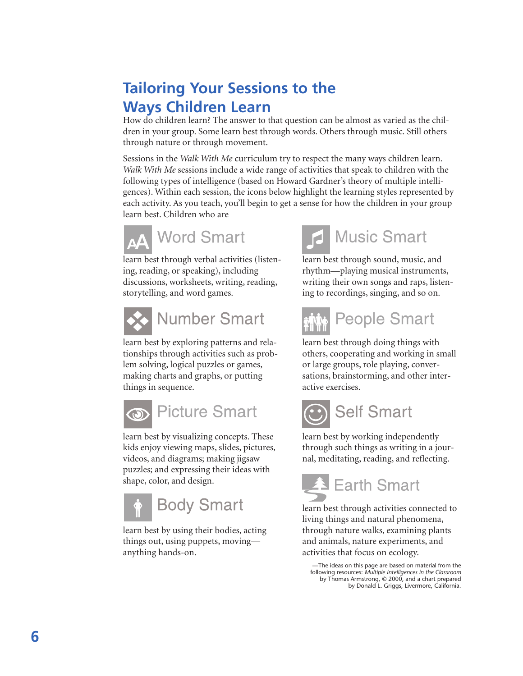## **Tailoring Your Sessions to the Ways Children Learn**

How do children learn? The answer to that question can be almost as varied as the children in your group. Some learn best through words. Others through music. Still others through nature or through movement.

Sessions in the *Walk With Me* curriculum try to respect the many ways children learn. *Walk With Me* sessions include a wide range of activities that speak to children with the following types of intelligence (based on Howard Gardner's theory of multiple intelligences). Within each session, the icons below highlight the learning styles represented by each activity. As you teach, you'll begin to get a sense for how the children in your group learn best. Children who are



learn best through verbal activities (listening, reading, or speaking), including discussions, worksheets, writing, reading, storytelling, and word games.



learn best by exploring patterns and rela-

tionships through activities such as problem solving, logical puzzles or games, making charts and graphs, or putting things in sequence.



learn best by visualizing concepts. These kids enjoy viewing maps, slides, pictures, videos, and diagrams; making jigsaw puzzles; and expressing their ideas with shape, color, and design.



learn best by using their bodies, acting things out, using puppets, moving anything hands-on.



learn best through sound, music, and rhythm—playing musical instruments, writing their own songs and raps, listening to recordings, singing, and so on.



learn best through doing things with others, cooperating and working in small or large groups, role playing, conversations, brainstorming, and other interactive exercises.



learn best by working independently through such things as writing in a journal, meditating, reading, and reflecting.



learn best through activities connected to living things and natural phenomena, through nature walks, examining plants and animals, nature experiments, and activities that focus on ecology.

—The ideas on this page are based on material from the following resources: *Multiple Intelligences in the Classroom* by Thomas Armstrong, © 2000, and a chart prepared by Donald L. Griggs, Livermore, California.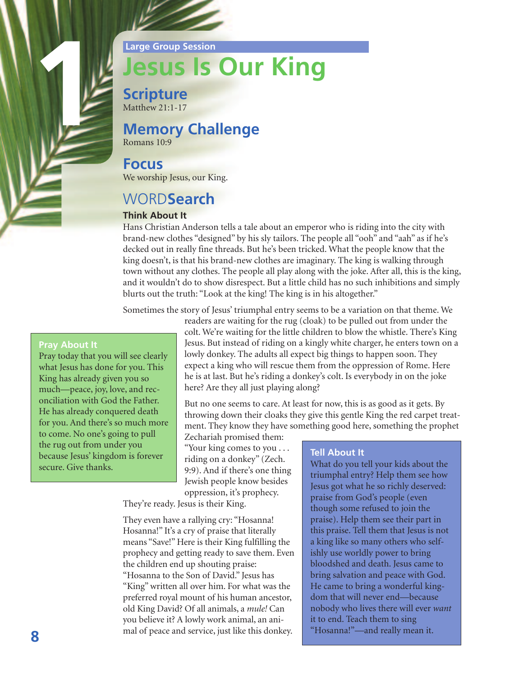

# **Jesus Is Our King**

**Scripture** Matthew 21:1-17

## **Memory Challenge**

Romans 10:9

#### **Focus**

We worship Jesus, our King.

## WORD**Search**

#### **Think About It**

Hans Christian Anderson tells a tale about an emperor who is riding into the city with brand-new clothes "designed" by his sly tailors. The people all "ooh" and "aah" as if he's decked out in really fine threads. But he's been tricked. What the people know that the king doesn't, is that his brand-new clothes are imaginary. The king is walking through town without any clothes. The people all play along with the joke. After all, this is the king, and it wouldn't do to show disrespect. But a little child has no such inhibitions and simply blurts out the truth: "Look at the king! The king is in his altogether."

Sometimes the story of Jesus' triumphal entry seems to be a variation on that theme. We

#### **Pray About It**

1

Pray today that you will see clearly what Jesus has done for you. This King has already given you so much—peace, joy, love, and reconciliation with God the Father. He has already conquered death for you. And there's so much more to come. No one's going to pull the rug out from under you because Jesus' kingdom is forever secure. Give thanks.

readers are waiting for the rug (cloak) to be pulled out from under the colt. We're waiting for the little children to blow the whistle. There's King Jesus. But instead of riding on a kingly white charger, he enters town on a lowly donkey. The adults all expect big things to happen soon. They expect a king who will rescue them from the oppression of Rome. Here he is at last. But he's riding a donkey's colt. Is everybody in on the joke here? Are they all just playing along?

But no one seems to care. At least for now, this is as good as it gets. By throwing down their cloaks they give this gentle King the red carpet treatment. They know they have something good here, something the prophet

Zechariah promised them: "Your king comes to you . . . riding on a donkey" (Zech. 9:9). And if there's one thing Jewish people know besides oppression, it's prophecy.

They're ready. Jesus is their King.

They even have a rallying cry: "Hosanna! Hosanna!" It's a cry of praise that literally means "Save!" Here is their King fulfilling the prophecy and getting ready to save them. Even the children end up shouting praise: "Hosanna to the Son of David." Jesus has "King" written all over him. For what was the preferred royal mount of his human ancestor, old King David? Of all animals, a *mule!* Can you believe it? A lowly work animal, an animal of peace and service, just like this donkey. **8**

#### **Tell About It**

What do you tell your kids about the triumphal entry? Help them see how Jesus got what he so richly deserved: praise from God's people (even though some refused to join the praise). Help them see their part in this praise. Tell them that Jesus is not a king like so many others who selfishly use worldly power to bring bloodshed and death. Jesus came to bring salvation and peace with God. He came to bring a wonderful kingdom that will never end—because nobody who lives there will ever *want* it to end. Teach them to sing "Hosanna!"—and really mean it.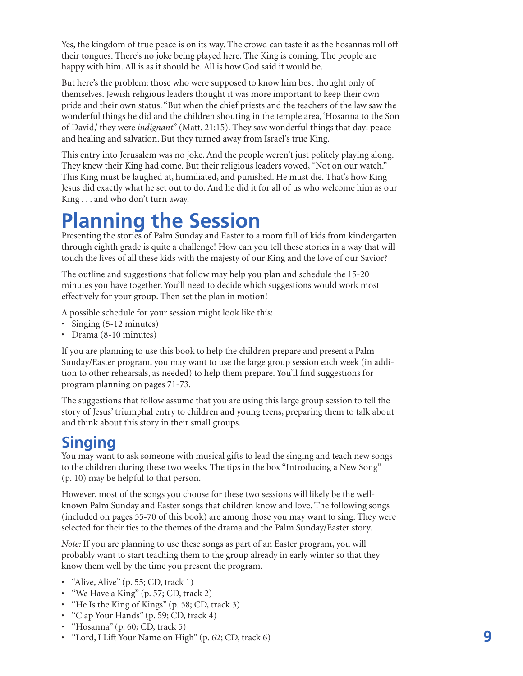Yes, the kingdom of true peace is on its way. The crowd can taste it as the hosannas roll off their tongues. There's no joke being played here. The King is coming. The people are happy with him. All is as it should be. All is how God said it would be.

But here's the problem: those who were supposed to know him best thought only of themselves. Jewish religious leaders thought it was more important to keep their own pride and their own status. "But when the chief priests and the teachers of the law saw the wonderful things he did and the children shouting in the temple area, 'Hosanna to the Son of David,' they were *indignant*" (Matt. 21:15). They saw wonderful things that day: peace and healing and salvation. But they turned away from Israel's true King.

This entry into Jerusalem was no joke. And the people weren't just politely playing along. They knew their King had come. But their religious leaders vowed, "Not on our watch." This King must be laughed at, humiliated, and punished. He must die. That's how King Jesus did exactly what he set out to do. And he did it for all of us who welcome him as our King . . . and who don't turn away.

## **Planning the Session**

Presenting the stories of Palm Sunday and Easter to a room full of kids from kindergarten through eighth grade is quite a challenge! How can you tell these stories in a way that will touch the lives of all these kids with the majesty of our King and the love of our Savior?

The outline and suggestions that follow may help you plan and schedule the 15-20 minutes you have together. You'll need to decide which suggestions would work most effectively for your group. Then set the plan in motion!

A possible schedule for your session might look like this:

- Singing (5-12 minutes)
- Drama (8-10 minutes)

If you are planning to use this book to help the children prepare and present a Palm Sunday/Easter program, you may want to use the large group session each week (in addition to other rehearsals, as needed) to help them prepare. You'll find suggestions for program planning on pages 71-73.

The suggestions that follow assume that you are using this large group session to tell the story of Jesus' triumphal entry to children and young teens, preparing them to talk about and think about this story in their small groups.

## **Singing**

You may want to ask someone with musical gifts to lead the singing and teach new songs to the children during these two weeks. The tips in the box "Introducing a New Song" (p. 10) may be helpful to that person.

However, most of the songs you choose for these two sessions will likely be the wellknown Palm Sunday and Easter songs that children know and love. The following songs (included on pages 55-70 of this book) are among those you may want to sing. They were selected for their ties to the themes of the drama and the Palm Sunday/Easter story.

*Note:* If you are planning to use these songs as part of an Easter program, you will probably want to start teaching them to the group already in early winter so that they know them well by the time you present the program.

- "Alive, Alive" (p. 55; CD, track 1)
- "We Have a King" (p. 57; CD, track 2)
- "He Is the King of Kings" (p. 58; CD, track 3)
- "Clap Your Hands" (p. 59; CD, track 4)
- "Hosanna" (p. 60; CD, track 5)
- "Lord, <sup>I</sup> Lift Your Name on High" (p. 62; CD, track 6) **9**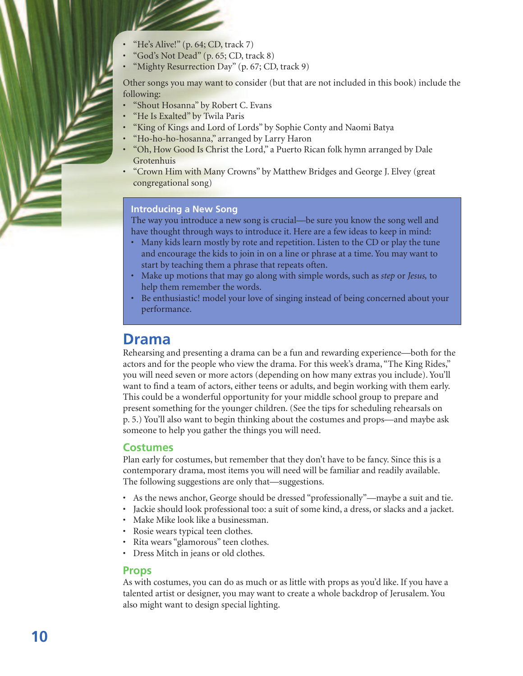- "He's Alive!"  $(p. 64; CD, track 7)$
- "God's Not Dead" (p. 65; CD, track 8)
- "Mighty Resurrection Day" (p. 67; CD, track 9)

Other songs you may want to consider (but that are not included in this book) include the following:

- "Shout Hosanna" by Robert C. Evans
- "He Is Exalted" by Twila Paris
- "King of Kings and Lord of Lords" by Sophie Conty and Naomi Batya
- "Ho-ho-ho-hosanna," arranged by Larry Haron
- "Oh, How Good Is Christ the Lord," a Puerto Rican folk hymn arranged by Dale Grotenhuis
- "Crown Him with Many Crowns" by Matthew Bridges and George J. Elvey (great congregational song)

#### **Introducing a New Song**

The way you introduce a new song is crucial—be sure you know the song well and have thought through ways to introduce it. Here are a few ideas to keep in mind:

- Many kids learn mostly by rote and repetition. Listen to the CD or play the tune and encourage the kids to join in on a line or phrase at a time. You may want to start by teaching them a phrase that repeats often.
- Make up motions that may go along with simple words, such as *step* or *Jesus,* to help them remember the words.
- Be enthusiastic! model your love of singing instead of being concerned about your performance.

#### **Drama**

Rehearsing and presenting a drama can be a fun and rewarding experience—both for the actors and for the people who view the drama. For this week's drama, "The King Rides," you will need seven or more actors (depending on how many extras you include). You'll want to find a team of actors, either teens or adults, and begin working with them early. This could be a wonderful opportunity for your middle school group to prepare and present something for the younger children. (See the tips for scheduling rehearsals on p. 5.) You'll also want to begin thinking about the costumes and props—and maybe ask someone to help you gather the things you will need.

#### **Costumes**

Plan early for costumes, but remember that they don't have to be fancy. Since this is a contemporary drama, most items you will need will be familiar and readily available. The following suggestions are only that—suggestions.

- As the news anchor, George should be dressed "professionally"—maybe a suit and tie.
- Jackie should look professional too: a suit of some kind, a dress, or slacks and a jacket.
- Make Mike look like a businessman.
- Rosie wears typical teen clothes.
- Rita wears "glamorous" teen clothes.
- Dress Mitch in jeans or old clothes.

#### **Props**

As with costumes, you can do as much or as little with props as you'd like. If you have a talented artist or designer, you may want to create a whole backdrop of Jerusalem. You also might want to design special lighting.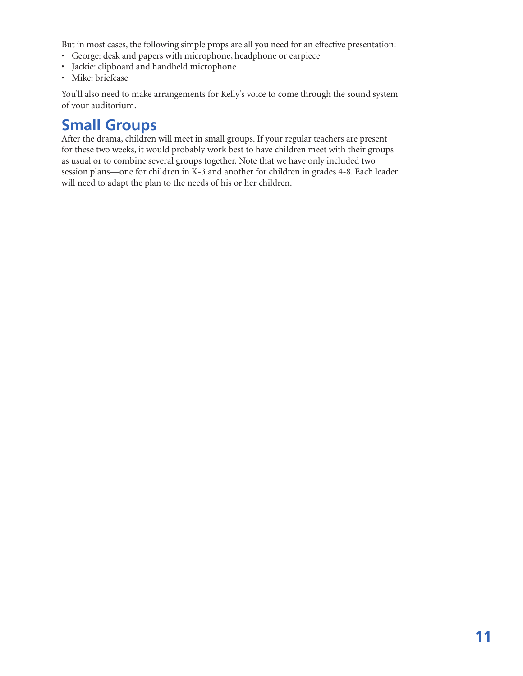But in most cases, the following simple props are all you need for an effective presentation:

- George: desk and papers with microphone, headphone or earpiece
- Jackie: clipboard and handheld microphone
- Mike: briefcase

You'll also need to make arrangements for Kelly's voice to come through the sound system of your auditorium.

## **Small Groups**

After the drama, children will meet in small groups. If your regular teachers are present for these two weeks, it would probably work best to have children meet with their groups as usual or to combine several groups together. Note that we have only included two session plans—one for children in K-3 and another for children in grades 4-8. Each leader will need to adapt the plan to the needs of his or her children.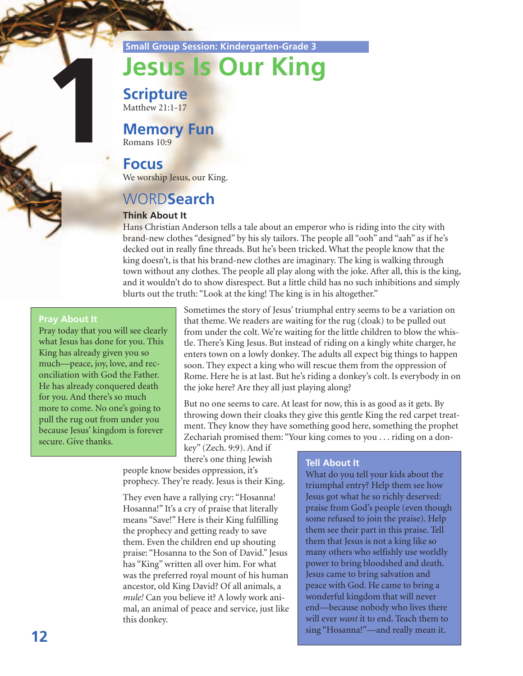**Small Group Session: Kindergarten-Grade 3**

# **Jesus Is Our King**

**Scripture** Matthew 21:1-17

## **Memory Fun**

Romans 10:9

#### **Focus**

We worship Jesus, our King.

## WORD**Search**

#### **Think About It**

Hans Christian Anderson tells a tale about an emperor who is riding into the city with brand-new clothes "designed" by his sly tailors. The people all "ooh" and "aah" as if he's decked out in really fine threads. But he's been tricked. What the people know that the king doesn't, is that his brand-new clothes are imaginary. The king is walking through town without any clothes. The people all play along with the joke. After all, this is the king, and it wouldn't do to show disrespect. But a little child has no such inhibitions and simply blurts out the truth: "Look at the king! The king is in his altogether."

#### **Pray About It**

**1**

Pray today that you will see clearly what Jesus has done for you. This King has already given you so much—peace, joy, love, and reconciliation with God the Father. He has already conquered death for you. And there's so much more to come. No one's going to pull the rug out from under you because Jesus' kingdom is forever secure. Give thanks.

Sometimes the story of Jesus' triumphal entry seems to be a variation on that theme. We readers are waiting for the rug (cloak) to be pulled out from under the colt. We're waiting for the little children to blow the whistle. There's King Jesus. But instead of riding on a kingly white charger, he enters town on a lowly donkey. The adults all expect big things to happen soon. They expect a king who will rescue them from the oppression of Rome. Here he is at last. But he's riding a donkey's colt. Is everybody in on the joke here? Are they all just playing along?

But no one seems to care. At least for now, this is as good as it gets. By throwing down their cloaks they give this gentle King the red carpet treatment. They know they have something good here, something the prophet Zechariah promised them: "Your king comes to you . . . riding on a don-

key" (Zech. 9:9). And if there's one thing Jewish

people know besides oppression, it's prophecy. They're ready. Jesus is their King.

They even have a rallying cry: "Hosanna! Hosanna!" It's a cry of praise that literally means "Save!" Here is their King fulfilling the prophecy and getting ready to save them. Even the children end up shouting praise: "Hosanna to the Son of David." Jesus has "King" written all over him. For what was the preferred royal mount of his human ancestor, old King David? Of all animals, a *mule!* Can you believe it? A lowly work animal, an animal of peace and service, just like this donkey.

#### **Tell About It**

What do you tell your kids about the triumphal entry? Help them see how Jesus got what he so richly deserved: praise from God's people (even though some refused to join the praise). Help them see their part in this praise. Tell them that Jesus is not a king like so many others who selfishly use worldly power to bring bloodshed and death. Jesus came to bring salvation and peace with God. He came to bring a wonderful kingdom that will never end—because nobody who lives there will ever *want* it to end. Teach them to sing "Hosanna!"—and really mean it.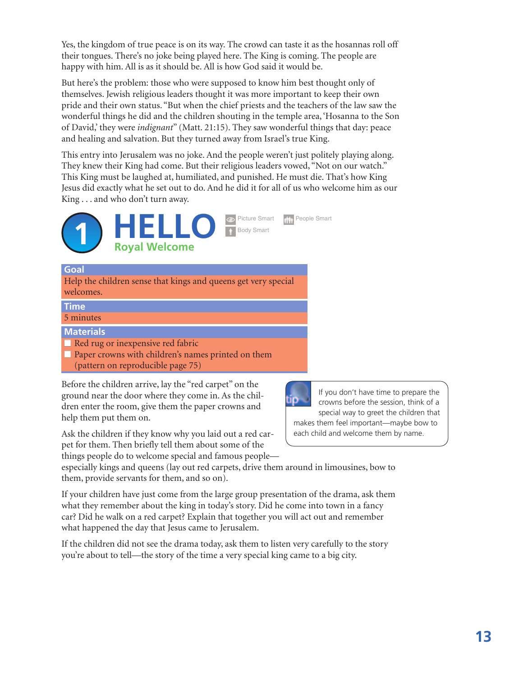Yes, the kingdom of true peace is on its way. The crowd can taste it as the hosannas roll off their tongues. There's no joke being played here. The King is coming. The people are happy with him. All is as it should be. All is how God said it would be.

But here's the problem: those who were supposed to know him best thought only of themselves. Jewish religious leaders thought it was more important to keep their own pride and their own status. "But when the chief priests and the teachers of the law saw the wonderful things he did and the children shouting in the temple area, 'Hosanna to the Son of David,' they were *indignant*" (Matt. 21:15). They saw wonderful things that day: peace and healing and salvation. But they turned away from Israel's true King.

This entry into Jerusalem was no joke. And the people weren't just politely playing along. They knew their King had come. But their religious leaders vowed, "Not on our watch." This King must be laughed at, humiliated, and punished. He must die. That's how King Jesus did exactly what he set out to do. And he did it for all of us who welcome him as our King . . . and who don't turn away.



#### **Goal**

Help the children sense that kings and queens get very special welcomes.

#### **Time**

5 minutes

**Materials**

■ Red rug or inexpensive red fabric

■ Paper crowns with children's names printed on them (pattern on reproducible page 75)

Before the children arrive, lay the "red carpet" on the ground near the door where they come in. As the children enter the room, give them the paper crowns and help them put them on.

Ask the children if they know why you laid out a red carpet for them. Then briefly tell them about some of the things people do to welcome special and famous people—



If you don't have time to prepare the crowns before the session, think of a special way to greet the children that makes them feel important—maybe bow to each child and welcome them by name.

especially kings and queens (lay out red carpets, drive them around in limousines, bow to them, provide servants for them, and so on).

If your children have just come from the large group presentation of the drama, ask them what they remember about the king in today's story. Did he come into town in a fancy car? Did he walk on a red carpet? Explain that together you will act out and remember what happened the day that Jesus came to Jerusalem.

If the children did not see the drama today, ask them to listen very carefully to the story you're about to tell—the story of the time a very special king came to a big city.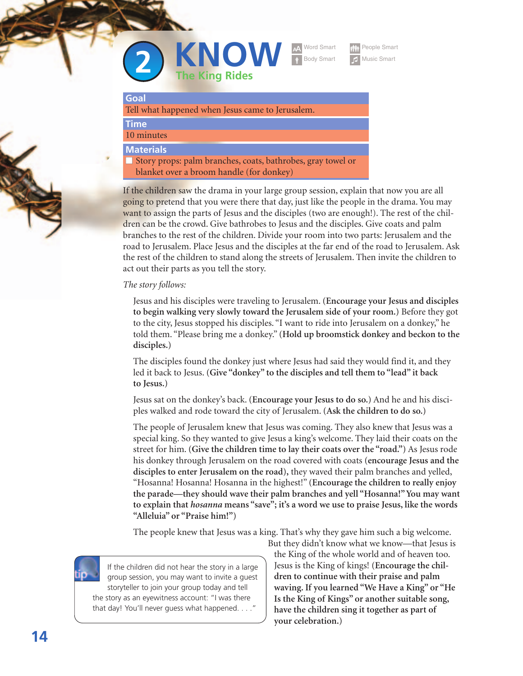



People Smart

#### **Goal**

Tell what happened when Jesus came to Jerusalem.

#### **Time** 10 minutes

**Materials**

**■** Story props: palm branches, coats, bathrobes, gray towel or blanket over a broom handle (for donkey)

If the children saw the drama in your large group session, explain that now you are all going to pretend that you were there that day, just like the people in the drama. You may want to assign the parts of Jesus and the disciples (two are enough!). The rest of the children can be the crowd. Give bathrobes to Jesus and the disciples. Give coats and palm branches to the rest of the children. Divide your room into two parts: Jerusalem and the road to Jerusalem. Place Jesus and the disciples at the far end of the road to Jerusalem. Ask the rest of the children to stand along the streets of Jerusalem. Then invite the children to act out their parts as you tell the story.

#### *The story follows:*

Jesus and his disciples were traveling to Jerusalem. **(Encourage your Jesus and disciples to begin walking very slowly toward the Jerusalem side of your room.)** Before they got to the city, Jesus stopped his disciples. "I want to ride into Jerusalem on a donkey," he told them. "Please bring me a donkey." **(Hold up broomstick donkey and beckon to the disciples.)**

The disciples found the donkey just where Jesus had said they would find it, and they led it back to Jesus. **(Give "donkey" to the disciples and tell them to "lead" it back to Jesus.)**

Jesus sat on the donkey's back. **(Encourage your Jesus to do so.)** And he and his disciples walked and rode toward the city of Jerusalem. **(Ask the children to do so.)**

The people of Jerusalem knew that Jesus was coming. They also knew that Jesus was a special king. So they wanted to give Jesus a king's welcome. They laid their coats on the street for him. **(Give the children time to lay their coats over the "road.")** As Jesus rode his donkey through Jerusalem on the road covered with coats **(encourage Jesus and the disciples to enter Jerusalem on the road),** they waved their palm branches and yelled, "Hosanna! Hosanna! Hosanna in the highest!" **(Encourage the children to really enjoy the parade—they should wave their palm branches and yell "Hosanna!" You may want to explain that** *hosanna* **means "save"; it's a word we use to praise Jesus, like the words "Alleluia" or "Praise him!")**

The people knew that Jesus was a king. That's why they gave him such a big welcome.



If the children did not hear the story in a large group session, you may want to invite a guest storyteller to join your group today and tell the story as an eyewitness account: "I was there that day! You'll never quess what happened. . . . '

But they didn't know what we know—that Jesus is the King of the whole world and of heaven too. Jesus is the King of kings! **(Encourage the children to continue with their praise and palm waving. If you learned "We Have a King" or "He Is the King of Kings" or another suitable song, have the children sing it together as part of your celebration.)**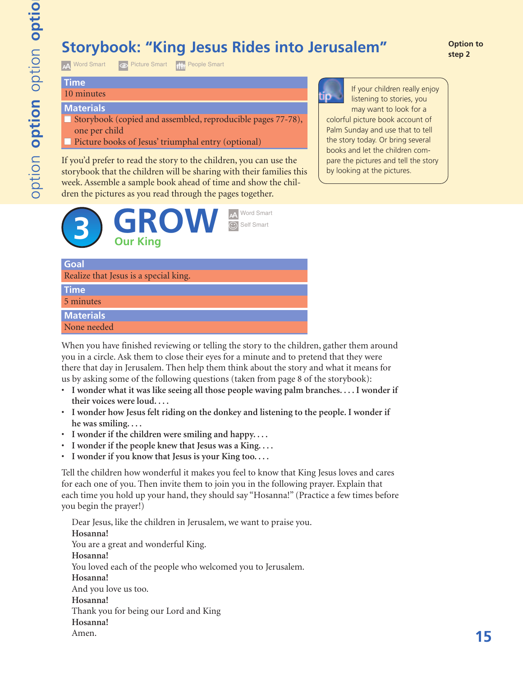## **Storybook: "King Jesus Rides into Jerusalem"** and or option

A Word Smart **O** Picture Smart **Final People Smart** 

#### **Time** 10 minutes

#### **Materials**

- Storybook (copied and assembled, reproducible pages 77-78), one per child
- Picture books of Jesus' triumphal entry (optional)

If you'd prefer to read the story to the children, you can use the storybook that the children will be sharing with their families this week. Assemble a sample book ahead of time and show the children the pictures as you read through the pages together.



If your children really enjoy listening to stories, you may want to look for a colorful picture book account of Palm Sunday and use that to tell the story today. Or bring several books and let the children compare the pictures and tell the story by looking at the pictures.

#### **Goal**

Realize that Jesus is a special king.

#### **Time**

5 minutes

#### **Materials**

None needed

When you have finished reviewing or telling the story to the children, gather them around you in a circle. Ask them to close their eyes for a minute and to pretend that they were there that day in Jerusalem. Then help them think about the story and what it means for us by asking some of the following questions (taken from page 8 of the storybook):

- **I wonder what it was like seeing all those people waving palm branches. . . . I wonder if their voices were loud. . . .**
- **I wonder how Jesus felt riding on the donkey and listening to the people. I wonder if he was smiling. . . .**
- **I wonder if the children were smiling and happy. . . .**
- **I wonder if the people knew that Jesus was a King. . . .**
- **I wonder if you know that Jesus is your King too. . . .**

Tell the children how wonderful it makes you feel to know that King Jesus loves and cares for each one of you. Then invite them to join you in the following prayer. Explain that each time you hold up your hand, they should say "Hosanna!" (Practice a few times before you begin the prayer!)

Dear Jesus, like the children in Jerusalem, we want to praise you. **Hosanna!** You are a great and wonderful King. **Hosanna!** You loved each of the people who welcomed you to Jerusalem. **Hosanna!** And you love us too. **Hosanna!** Thank you for being our Lord and King **Hosanna!** Amen.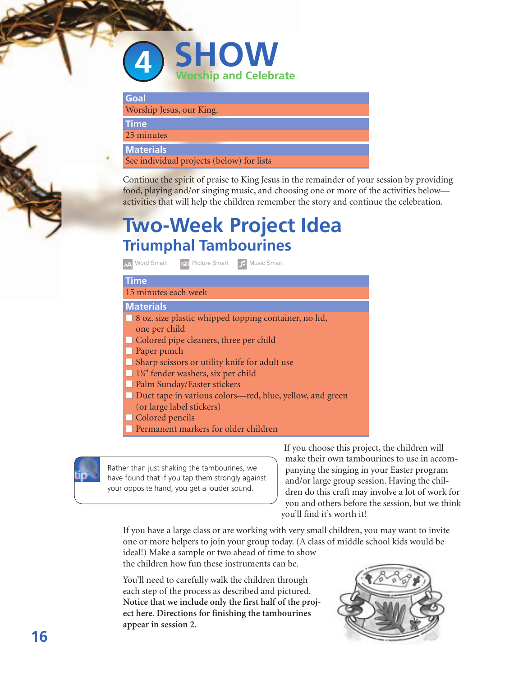

| Goal                     |  |  |
|--------------------------|--|--|
| Worship Jesus, our King. |  |  |
|                          |  |  |

**Time** 25 minutes

**Materials**

See individual projects (below) for lists

Continue the spirit of praise to King Jesus in the remainder of your session by providing food, playing and/or singing music, and choosing one or more of the activities below activities that will help the children remember the story and continue the celebration.

## **Two-Week Project Idea Triumphal Tambourines**

> Word Smart NPicture Smart ¯ Music Smart

#### **Time** 15 minutes each week

#### **Materials**

- 8 oz. size plastic whipped topping container, no lid, one per child
- Colored pipe cleaners, three per child
- Paper punch
- Sharp scissors or utility knife for adult use
- **■** 11 ⁄4" fender washers, six per child
- Palm Sunday/Easter stickers
- Duct tape in various colors—red, blue, yellow, and green
- (or large label stickers)
- Colored pencils
- Permanent markers for older children



Rather than just shaking the tambourines, we have found that if you tap them strongly against your opposite hand, you get a louder sound.

If you choose this project, the children will make their own tambourines to use in accompanying the singing in your Easter program and/or large group session. Having the children do this craft may involve a lot of work for you and others before the session, but we think you'll find it's worth it!

If you have a large class or are working with very small children, you may want to invite one or more helpers to join your group today. (A class of middle school kids would be ideal!) Make a sample or two ahead of time to show

the children how fun these instruments can be.

You'll need to carefully walk the children through each step of the process as described and pictured. **Notice that we include only the first half of the project here. Directions for finishing the tambourines appear in session 2.**

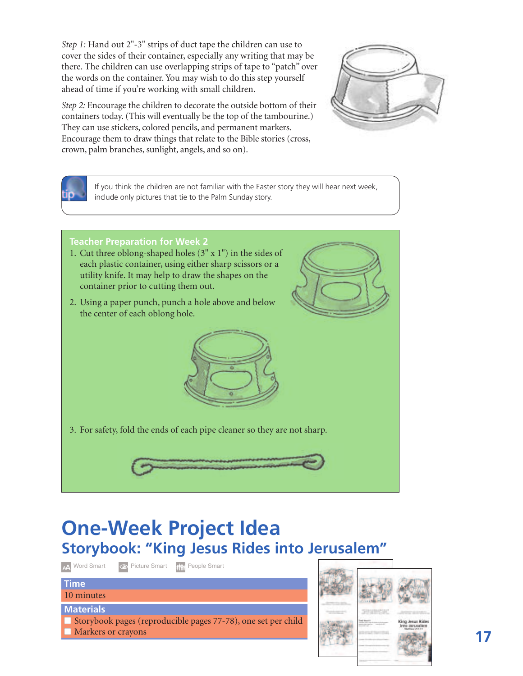*Step 1:* Hand out 2"-3" strips of duct tape the children can use to cover the sides of their container, especially any writing that may be there. The children can use overlapping strips of tape to "patch" over the words on the container. You may wish to do this step yourself ahead of time if you're working with small children.

*Step 2:* Encourage the children to decorate the outside bottom of their containers today. (This will eventually be the top of the tambourine.) They can use stickers, colored pencils, and permanent markers. Encourage them to draw things that relate to the Bible stories (cross, crown, palm branches, sunlight, angels, and so on).

> If you think the children are not familiar with the Easter story they will hear next week, include only pictures that tie to the Palm Sunday story.

#### **Teacher Preparation for Week 2**

- 1. Cut three oblong-shaped holes (3" x 1") in the sides of each plastic container, using either sharp scissors or a utility knife. It may help to draw the shapes on the container prior to cutting them out.
- 2. Using a paper punch, punch a hole above and below the center of each oblong hole.

3. For safety, fold the ends of each pipe cleaner so they are not sharp.

## **One-Week Project Idea Storybook: "King Jesus Rides into Jerusalem"**

AA Word Smart **OD** Picture Smart **Right** People Smart

#### 10 minutes

**Time**

#### **Materials**

■ Storybook pages (reproducible pages 77-78), one set per child ■ Markers or crayons

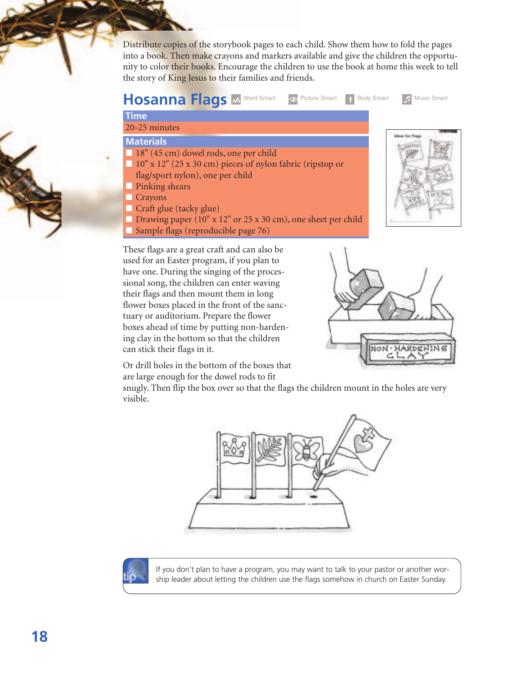Distribute copies of the storybook pages to each child. Show them how to fold the pages into a book. Then make crayons and markers available and give the children the opportunity to color their books. Encourage the children to use the book at home this week to tell the story of King Jesus to their families and friends.



#### **Time**

20-25 minutes

#### **Materials**

- 18" (45 cm) dowel rods, one per child
- **■** 10" x 12" (25 x 30 cm) pieces of nylon fabric (ripstop or flag/sport nylon), one per child
- Pinking shears
- **■** Crayons
- Craft glue (tacky glue)
- Drawing paper (10" x 12" or 25 x 30 cm), one sheet per child
- **■** Sample flags (reproducible page 76)

NON · HARDENING

in for the

These flags are a great craft and can also be used for an Easter program, if you plan to have one. During the singing of the processional song, the children can enter waving their flags and then mount them in long flower boxes placed in the front of the sanctuary or auditorium. Prepare the flower boxes ahead of time by putting non-hardening clay in the bottom so that the children can stick their flags in it.



snugly. Then flip the box over so that the flags the children mount in the holes are very visible.





If you don't plan to have a program, you may want to talk to your pastor or another worship leader about letting the children use the flags somehow in church on Easter Sunday.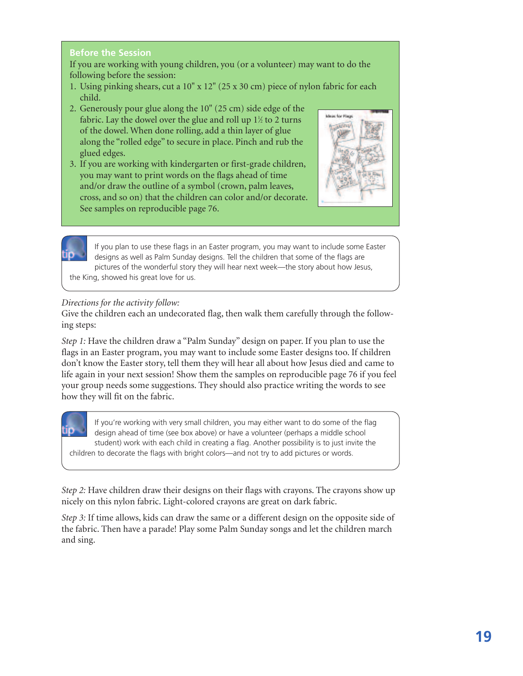#### **Before the Session**

If you are working with young children, you (or a volunteer) may want to do the following before the session:

- 1. Using pinking shears, cut a 10" x 12" (25 x 30 cm) piece of nylon fabric for each child.
- 2. Generously pour glue along the 10" (25 cm) side edge of the fabric. Lay the dowel over the glue and roll up  $1\%$  to 2 turns of the dowel. When done rolling, add a thin layer of glue along the "rolled edge" to secure in place. Pinch and rub the glued edges.
- 3. If you are working with kindergarten or first-grade children, you may want to print words on the flags ahead of time and/or draw the outline of a symbol (crown, palm leaves, cross, and so on) that the children can color and/or decorate. See samples on reproducible page 76.



If you plan to use these flags in an Easter program, you may want to include some Easter designs as well as Palm Sunday designs. Tell the children that some of the flags are pictures of the wonderful story they will hear next week—the story about how Jesus, the King, showed his great love for us.

#### *Directions for the activity follow:*

Give the children each an undecorated flag, then walk them carefully through the following steps:

*Step 1:* Have the children draw a "Palm Sunday" design on paper. If you plan to use the flags in an Easter program, you may want to include some Easter designs too. If children don't know the Easter story, tell them they will hear all about how Jesus died and came to life again in your next session! Show them the samples on reproducible page 76 if you feel your group needs some suggestions. They should also practice writing the words to see how they will fit on the fabric.

If you're working with very small children, you may either want to do some of the flag design ahead of time (see box above) or have a volunteer (perhaps a middle school student) work with each child in creating a flag. Another possibility is to just invite the children to decorate the flags with bright colors—and not try to add pictures or words.

*Step 2:* Have children draw their designs on their flags with crayons. The crayons show up nicely on this nylon fabric. Light-colored crayons are great on dark fabric.

*Step 3:* If time allows, kids can draw the same or a different design on the opposite side of the fabric. Then have a parade! Play some Palm Sunday songs and let the children march and sing.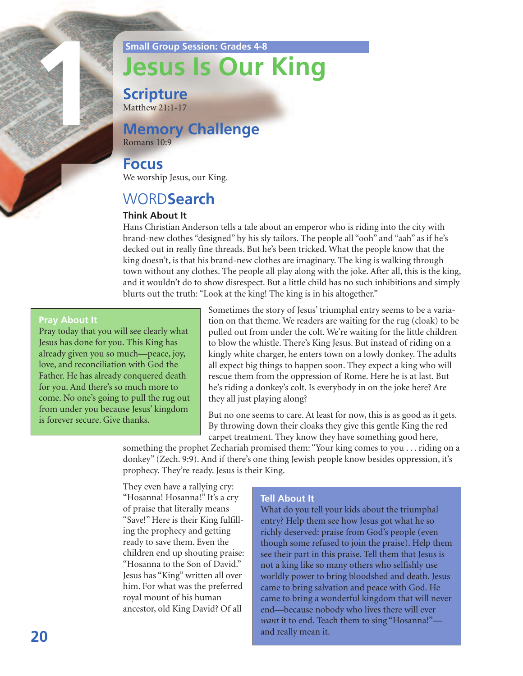**Small Group Session: Grades 4-8**

# **Jesus Is Our King**

**Scripture** Matthew 21:1-17

## **Memory Challenge**

Romans 10:9

#### **Focus**

We worship Jesus, our King.

## WORD**Search**

#### **Think About It**

Hans Christian Anderson tells a tale about an emperor who is riding into the city with brand-new clothes "designed" by his sly tailors. The people all "ooh" and "aah" as if he's decked out in really fine threads. But he's been tricked. What the people know that the king doesn't, is that his brand-new clothes are imaginary. The king is walking through town without any clothes. The people all play along with the joke. After all, this is the king, and it wouldn't do to show disrespect. But a little child has no such inhibitions and simply blurts out the truth: "Look at the king! The king is in his altogether."

#### **Pray About It**

**1** 

Pray today that you will see clearly what Jesus has done for you. This King has already given you so much—peace, joy, love, and reconciliation with God the Father. He has already conquered death for you. And there's so much more to come. No one's going to pull the rug out from under you because Jesus' kingdom is forever secure. Give thanks.

Sometimes the story of Jesus' triumphal entry seems to be a variation on that theme. We readers are waiting for the rug (cloak) to be pulled out from under the colt. We're waiting for the little children to blow the whistle. There's King Jesus. But instead of riding on a kingly white charger, he enters town on a lowly donkey. The adults all expect big things to happen soon. They expect a king who will rescue them from the oppression of Rome. Here he is at last. But he's riding a donkey's colt. Is everybody in on the joke here? Are they all just playing along?

But no one seems to care. At least for now, this is as good as it gets. By throwing down their cloaks they give this gentle King the red carpet treatment. They know they have something good here,

something the prophet Zechariah promised them: "Your king comes to you . . . riding on a donkey" (Zech. 9:9). And if there's one thing Jewish people know besides oppression, it's prophecy. They're ready. Jesus is their King.

They even have a rallying cry: "Hosanna! Hosanna!" It's a cry of praise that literally means "Save!" Here is their King fulfilling the prophecy and getting ready to save them. Even the children end up shouting praise: "Hosanna to the Son of David." Jesus has "King" written all over him. For what was the preferred royal mount of his human ancestor, old King David? Of all

#### **Tell About It**

What do you tell your kids about the triumphal entry? Help them see how Jesus got what he so richly deserved: praise from God's people (even though some refused to join the praise). Help them see their part in this praise. Tell them that Jesus is not a king like so many others who selfishly use worldly power to bring bloodshed and death. Jesus came to bring salvation and peace with God. He came to bring a wonderful kingdom that will never end—because nobody who lives there will ever want it to end. Teach them to sing "Hosanna!"and really mean it.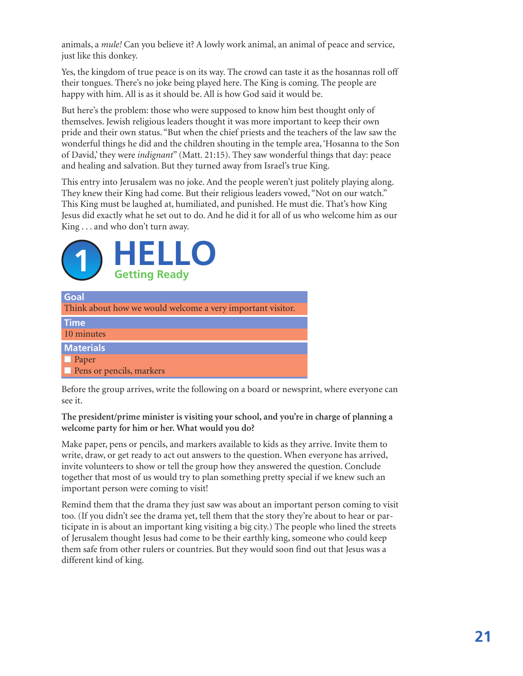animals, a *mule!* Can you believe it? A lowly work animal, an animal of peace and service, just like this donkey.

Yes, the kingdom of true peace is on its way. The crowd can taste it as the hosannas roll off their tongues. There's no joke being played here. The King is coming. The people are happy with him. All is as it should be. All is how God said it would be.

But here's the problem: those who were supposed to know him best thought only of themselves. Jewish religious leaders thought it was more important to keep their own pride and their own status. "But when the chief priests and the teachers of the law saw the wonderful things he did and the children shouting in the temple area, 'Hosanna to the Son of David,' they were *indignant*" (Matt. 21:15). They saw wonderful things that day: peace and healing and salvation. But they turned away from Israel's true King.

This entry into Jerusalem was no joke. And the people weren't just politely playing along. They knew their King had come. But their religious leaders vowed, "Not on our watch." This King must be laughed at, humiliated, and punished. He must die. That's how King Jesus did exactly what he set out to do. And he did it for all of us who welcome him as our King . . . and who don't turn away.



| Goal                                                       |
|------------------------------------------------------------|
| Think about how we would welcome a very important visitor. |
| <b>Time</b>                                                |
| 10 minutes                                                 |
| <b>Materials</b>                                           |
| $\Box$ Paper                                               |
| $\Box$ Pens or pencils, markers                            |

Before the group arrives, write the following on a board or newsprint, where everyone can see it.

#### **The president/prime minister is visiting your school, and you're in charge of planning a welcome party for him or her. What would you do?**

Make paper, pens or pencils, and markers available to kids as they arrive. Invite them to write, draw, or get ready to act out answers to the question. When everyone has arrived, invite volunteers to show or tell the group how they answered the question. Conclude together that most of us would try to plan something pretty special if we knew such an important person were coming to visit!

Remind them that the drama they just saw was about an important person coming to visit too. (If you didn't see the drama yet, tell them that the story they're about to hear or participate in is about an important king visiting a big city.) The people who lined the streets of Jerusalem thought Jesus had come to be their earthly king, someone who could keep them safe from other rulers or countries. But they would soon find out that Jesus was a different kind of king.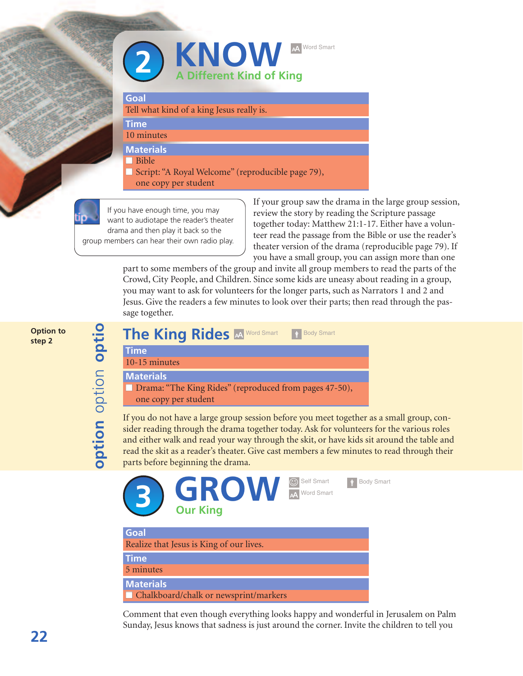

#### **Goal**

Tell what kind of a king Jesus really is.

**Time** 10 minutes

**Materials**

**■** Bible

■ Script: "A Royal Welcome" (reproducible page 79),

one copy per student

**of the contract of the contract of the contract of the contract of the contract of the contract of the contract** 

n

**ptio n**optio n

**tio**

**op tio n** o  $\Omega$ tio  $\subseteq$ **o p tio n**

**p**group members can hear their own radio play.**tio n**If you have enough time, you may want to audiotape the reader's theater drama and then play it back so the

If your group saw the drama in the large group session, review the story by reading the Scripture passage together today: Matthew 21:1-17. Either have a volunteer read the passage from the Bible or use the reader's theater version of the drama (reproducible page 79). If you have a small group, you can assign more than one

part to some members of the group and invite all group members to read the parts of the Crowd, City People, and Children. Since some kids are uneasy about reading in a group, you may want to ask for volunteers for the longer parts, such as Narrators 1 and 2 and Jesus. Give the readers a few minutes to look over their parts; then read through the passage together.

**Option to step 2**

The King Rides **And Word Smart of Body Smart Time** 10-15 minutes **Materials ■** Drama: "The King Rides" (reproduced from pages 47-50), one copy per student

If you do not have a large group session before you meet together as a small group, consider reading through the drama together today. Ask for volunteers for the various roles and either walk and read your way through the skit, or have kids sit around the table and read the skit as a reader's theater. Give cast members a few minutes to read through their parts before beginning the drama.



Comment that even though everything looks happy and wonderful in Jerusalem on Palm Sunday, Jesus knows that sadness is just around the corner. Invite the children to tell you

**22**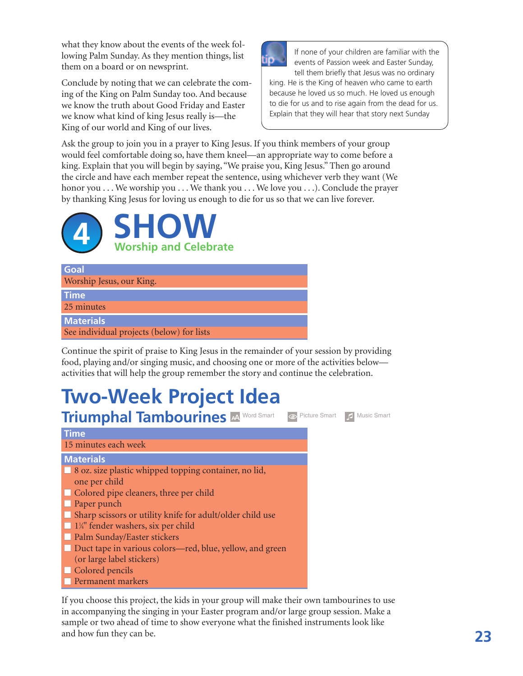what they know about the events of the week following Palm Sunday. As they mention things, list them on a board or on newsprint.

Conclude by noting that we can celebrate the coming of the King on Palm Sunday too. And because we know the truth about Good Friday and Easter we know what kind of king Jesus really is—the King of our world and King of our lives.



If none of your children are familiar with the events of Passion week and Easter Sunday, tell them briefly that Jesus was no ordinary

king. He is the King of heaven who came to earth because he loved us so much. He loved us enough to die for us and to rise again from the dead for us. Explain that they will hear that story next Sunday

Ask the group to join you in a prayer to King Jesus. If you think members of your group would feel comfortable doing so, have them kneel—an appropriate way to come before a king. Explain that you will begin by saying, "We praise you, King Jesus." Then go around the circle and have each member repeat the sentence, using whichever verb they want (We honor you . . . We worship you . . . We thank you . . . We love you . . . ). Conclude the prayer by thanking King Jesus for loving us enough to die for us so that we can live forever.



| <b>Goal</b><br>Worship Jesus, our King.   |
|-------------------------------------------|
| <b>Time</b>                               |
| 25 minutes                                |
| <b>Materials</b>                          |
| See individual projects (below) for lists |

Continue the spirit of praise to King Jesus in the remainder of your session by providing food, playing and/or singing music, and choosing one or more of the activities below activities that will help the group remember the story and continue the celebration.

## **Two-Week Project Idea**



If you choose this project, the kids in your group will make their own tambourines to use in accompanying the singing in your Easter program and/or large group session. Make a sample or two ahead of time to show everyone what the finished instruments look like and how fun they can be.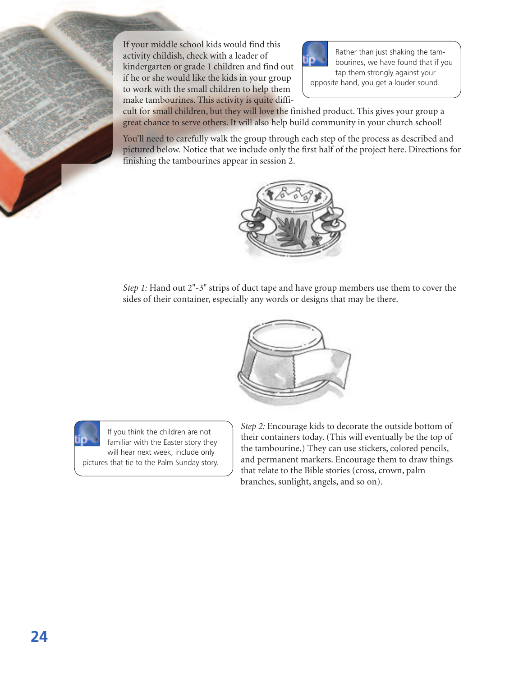If your middle school kids would find this activity childish, check with a leader of kindergarten or grade 1 children and find out if he or she would like the kids in your group to work with the small children to help them make tambourines. This activity is quite diffi-



Rather than just shaking the tambourines, we have found that if you tap them strongly against your opposite hand, you get a louder sound.

cult for small children, but they will love the finished product. This gives your group a great chance to serve others. It will also help build community in your church school!

You'll need to carefully walk the group through each step of the process as described and pictured below. Notice that we include only the first half of the project here. Directions for finishing the tambourines appear in session 2.



*Step 1:* Hand out 2"-3" strips of duct tape and have group members use them to cover the sides of their container, especially any words or designs that may be there.





If you think the children are not familiar with the Easter story they will hear next week, include only pictures that tie to the Palm Sunday story. *Step 2:* Encourage kids to decorate the outside bottom of their containers today. (This will eventually be the top of the tambourine.) They can use stickers, colored pencils, and permanent markers. Encourage them to draw things that relate to the Bible stories (cross, crown, palm branches, sunlight, angels, and so on).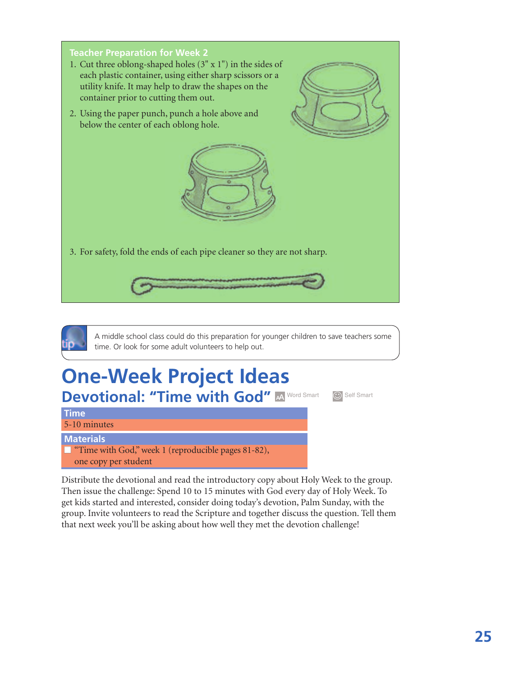



A middle school class could do this preparation for younger children to save teachers some time. Or look for some adult volunteers to help out.

## **One-Week Project Ideas** Devotional: "Time with God" **A Word Smart** Self Smart

**Time** 5-10 minutes

**Materials**

■ "Time with God," week 1 (reproducible pages 81-82), one copy per student

Distribute the devotional and read the introductory copy about Holy Week to the group. Then issue the challenge: Spend 10 to 15 minutes with God every day of Holy Week. To get kids started and interested, consider doing today's devotion, Palm Sunday, with the group. Invite volunteers to read the Scripture and together discuss the question. Tell them that next week you'll be asking about how well they met the devotion challenge!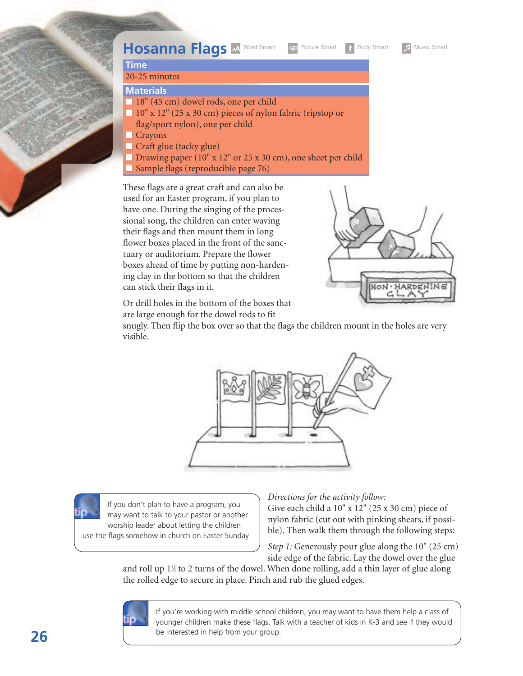

#### **Time**

#### 20-25 minutes

**Materials**

- **■** 18" (45 cm) dowel rods, one per child
- **■** 10" x 12" (25 x 30 cm) pieces of nylon fabric (ripstop or flag/sport nylon), one per child
- **■** Crayons
- Craft glue (tacky glue)
- Drawing paper (10" x 12" or 25 x 30 cm), one sheet per child
- Sample flags (reproducible page 76)

These flags are a great craft and can also be used for an Easter program, if you plan to have one. During the singing of the processional song, the children can enter waving their flags and then mount them in long flower boxes placed in the front of the sanctuary or auditorium. Prepare the flower boxes ahead of time by putting non-hardening clay in the bottom so that the children can stick their flags in it.



Or drill holes in the bottom of the boxes that are large enough for the dowel rods to fit

snugly. Then flip the box over so that the flags the children mount in the holes are very visible.



If you don't plan to have a program, you may want to talk to your pastor or another worship leader about letting the children use the flags somehow in church on Easter Sunday

#### *Directions for the activity follow:*

Give each child a 10" x 12" (25 x 30 cm) piece of nylon fabric (cut out with pinking shears, if possible). Then walk them through the following steps:

*Step 1:* Generously pour glue along the 10" (25 cm) side edge of the fabric. Lay the dowel over the glue

and roll up  $1\%$  to 2 turns of the dowel. When done rolling, add a thin layer of glue along the rolled edge to secure in place. Pinch and rub the glued edges.



If you're working with middle school children, you may want to have them help a class of younger children make these flags. Talk with a teacher of kids in K-3 and see if they would be interested in help from your group.